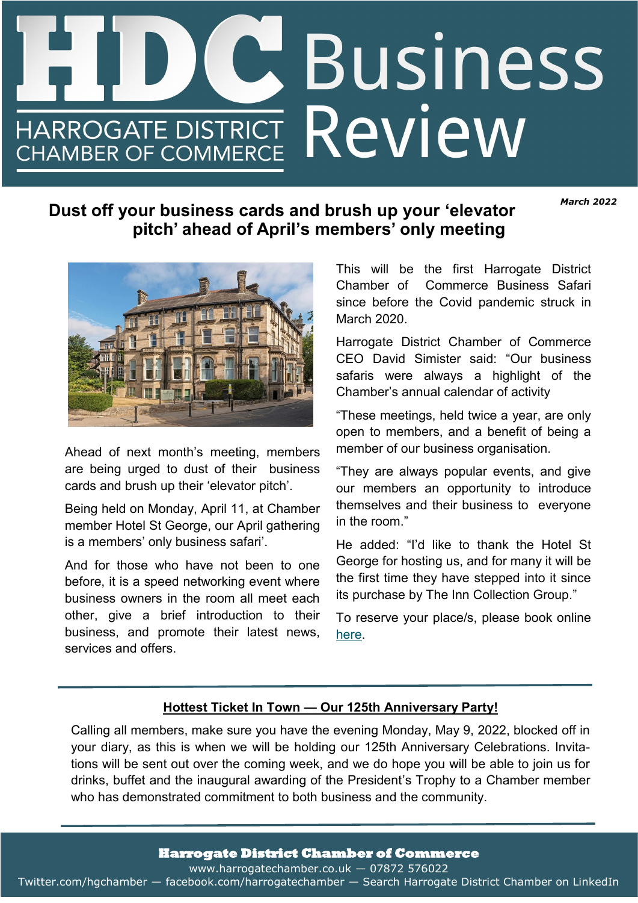# **Business**  $\overline{\mathbf{C}}$ HARROGATE DISTRICT ReVIEW **CHAMBER OF COMMERCE** *Promoting Harrogate business —The latest news from your chamber*

*March 2022*

# **Dust off your business cards and brush up your 'elevator pitch' ahead of April's members' only meeting**



Ahead of next month's meeting, members are being urged to dust of their business cards and brush up their 'elevator pitch'.

Being held on Monday, April 11, at Chamber member Hotel St George, our April gathering is a members' only business safari'.

And for those who have not been to one before, it is a speed networking event where business owners in the room all meet each other, give a brief introduction to their business, and promote their latest news, services and offers.

This will be the first Harrogate District Chamber of Commerce Business Safari since before the Covid pandemic struck in March 2020.

Harrogate District Chamber of Commerce CEO David Simister said: "Our business safaris were always a highlight of the Chamber's annual calendar of activity

"These meetings, held twice a year, are only open to members, and a benefit of being a member of our business organisation.

"They are always popular events, and give our members an opportunity to introduce themselves and their business to everyone in the room."

He added: "I'd like to thank the Hotel St George for hosting us, and for many it will be the first time they have stepped into it since its purchase by The Inn Collection Group."

To reserve your place/s, please book online [here.](https://www.harrogatechamber.co.uk/)

## **Hottest Ticket In Town — Our 125th Anniversary Party!**

Calling all members, make sure you have the evening Monday, May 9, 2022, blocked off in your diary, as this is when we will be holding our 125th Anniversary Celebrations. Invitations will be sent out over the coming week, and we do hope you will be able to join us for drinks, buffet and the inaugural awarding of the President's Trophy to a Chamber member who has demonstrated commitment to both business and the community.

**Harrogate District Chamber of Commerce** 

www.harrogatechamber.co.uk — 07872 576022

Twitter.com/hgchamber — facebook.com/harrogatechamber — Search Harrogate District Chamber on LinkedIn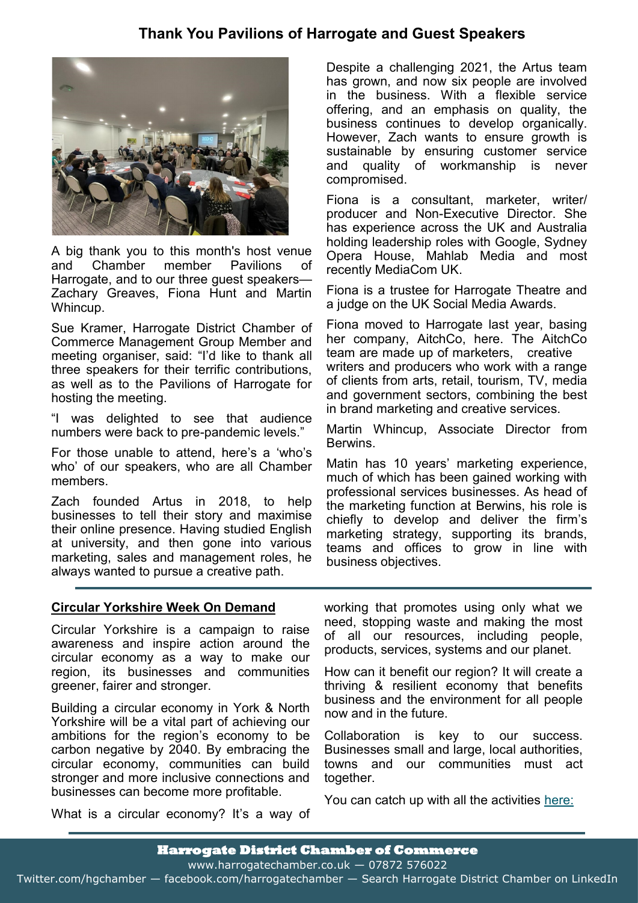# **Thank You Pavilions of Harrogate and Guest Speakers**



A big thank you to this month's host venue and Chamber member Pavilions of Harrogate, and to our three guest speakers— Zachary Greaves, Fiona Hunt and Martin Whincup.

Sue Kramer, Harrogate District Chamber of Commerce Management Group Member and meeting organiser, said: "I'd like to thank all three speakers for their terrific contributions, as well as to the Pavilions of Harrogate for hosting the meeting.

"I was delighted to see that audience numbers were back to pre-pandemic levels."

For those unable to attend, here's a 'who's who' of our speakers, who are all Chamber members.

Zach founded Artus in 2018, to help businesses to tell their story and maximise their online presence. Having studied English at university, and then gone into various marketing, sales and management roles, he always wanted to pursue a creative path.

Despite a challenging 2021, the Artus team has grown, and now six people are involved in the business. With a flexible service offering, and an emphasis on quality, the business continues to develop organically. However, Zach wants to ensure growth is sustainable by ensuring customer service and quality of workmanship is never compromised.

Fiona is a consultant, marketer, writer/ producer and Non-Executive Director. She has experience across the UK and Australia holding leadership roles with Google, Sydney Opera House, Mahlab Media and most recently MediaCom UK.

Fiona is a trustee for Harrogate Theatre and a judge on the UK Social Media Awards.

Fiona moved to Harrogate last year, basing her company, AitchCo, here. The AitchCo team are made up of marketers, creative writers and producers who work with a range of clients from arts, retail, tourism, TV, media and government sectors, combining the best in brand marketing and creative services.

Martin Whincup, Associate Director from **Berwins** 

Matin has 10 years' marketing experience, much of which has been gained working with professional services businesses. As head of the marketing function at Berwins, his role is chiefly to develop and deliver the firm's marketing strategy, supporting its brands, teams and offices to grow in line with business objectives.

## **Circular Yorkshire Week On Demand**

Circular Yorkshire is a campaign to raise awareness and inspire action around the circular economy as a way to make our region, its businesses and communities greener, fairer and stronger.

Building a circular economy in York & North Yorkshire will be a vital part of achieving our ambitions for the region's economy to be carbon negative by 2040. By embracing the circular economy, communities can build stronger and more inclusive connections and businesses can become more profitable.

working that promotes using only what we need, stopping waste and making the most of all our resources, including people, products, services, systems and our planet.

How can it benefit our region? It will create a thriving & resilient economy that benefits business and the environment for all people now and in the future.

Collaboration is key to our success. Businesses small and large, local authorities, towns and our communities must act together.

You can catch up with all the activities [here:](https://www.ynylep.com/news/circular-yorkshire/circular-yorkshire-week-2021)

What is a circular economy? It's a way of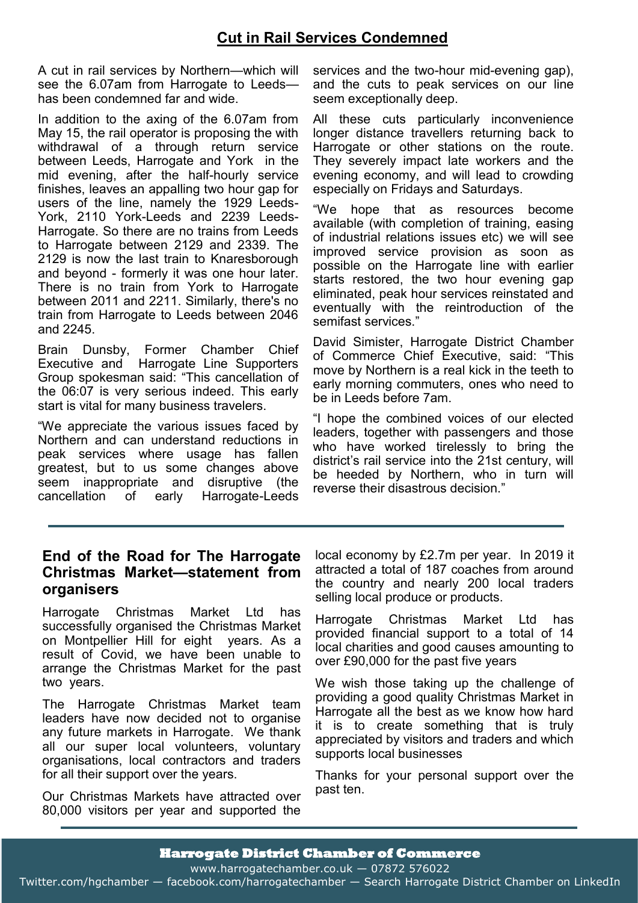## **Cut in Rail Services Condemned**

A cut in rail services by Northern—which will see the 6.07am from Harrogate to Leeds has been condemned far and wide.

In addition to the axing of the 6.07am from May 15, the rail operator is proposing the with withdrawal of a through return service between Leeds, Harrogate and York in the mid evening, after the half-hourly service finishes, leaves an appalling two hour gap for users of the line, namely the 1929 Leeds-York, 2110 York-Leeds and 2239 Leeds-Harrogate. So there are no trains from Leeds to Harrogate between 2129 and 2339. The 2129 is now the last train to Knaresborough and beyond - formerly it was one hour later. There is no train from York to Harrogate between 2011 and 2211. Similarly, there's no train from Harrogate to Leeds between 2046 and 2245.

Brain Dunsby, Former Chamber Chief Executive and Harrogate Line Supporters Group spokesman said: "This cancellation of the 06:07 is very serious indeed. This early start is vital for many business travelers.

"We appreciate the various issues faced by Northern and can understand reductions in peak services where usage has fallen greatest, but to us some changes above seem inappropriate and disruptive (the cancellation of early Harrogate-Leeds services and the two-hour mid-evening gap), and the cuts to peak services on our line seem exceptionally deep.

All these cuts particularly inconvenience longer distance travellers returning back to Harrogate or other stations on the route. They severely impact late workers and the evening economy, and will lead to crowding especially on Fridays and Saturdays.

"We hope that as resources become available (with completion of training, easing of industrial relations issues etc) we will see improved service provision as soon as possible on the Harrogate line with earlier starts restored, the two hour evening gap eliminated, peak hour services reinstated and eventually with the reintroduction of the semifast services."

David Simister, Harrogate District Chamber of Commerce Chief Executive, said: "This move by Northern is a real kick in the teeth to early morning commuters, ones who need to be in Leeds before 7am.

"I hope the combined voices of our elected leaders, together with passengers and those who have worked tirelessly to bring the district's rail service into the 21st century, will be heeded by Northern, who in turn will reverse their disastrous decision."

## **End of the Road for The Harrogate Christmas Market—statement from organisers**

Harrogate Christmas Market Ltd has successfully organised the Christmas Market on Montpellier Hill for eight years. As a result of Covid, we have been unable to arrange the Christmas Market for the past two years.

The Harrogate Christmas Market team leaders have now decided not to organise any future markets in Harrogate. We thank all our super local volunteers, voluntary organisations, local contractors and traders for all their support over the years.

Our Christmas Markets have attracted over 80,000 visitors per year and supported the local economy by £2.7m per year. In 2019 it attracted a total of 187 coaches from around the country and nearly 200 local traders selling local produce or products.

Harrogate Christmas Market Ltd has provided financial support to a total of 14 local charities and good causes amounting to over £90,000 for the past five years

We wish those taking up the challenge of providing a good quality Christmas Market in Harrogate all the best as we know how hard it is to create something that is truly appreciated by visitors and traders and which supports local businesses

Thanks for your personal support over the past ten.

Twitter.com/hgchamber — facebook.com/harrogatechamber — Search Harrogate District Chamber on LinkedIn Twitter.com/hgchamber — facebook.com/harrogatechamber — Search Harrogate District Chamber on LinkedIn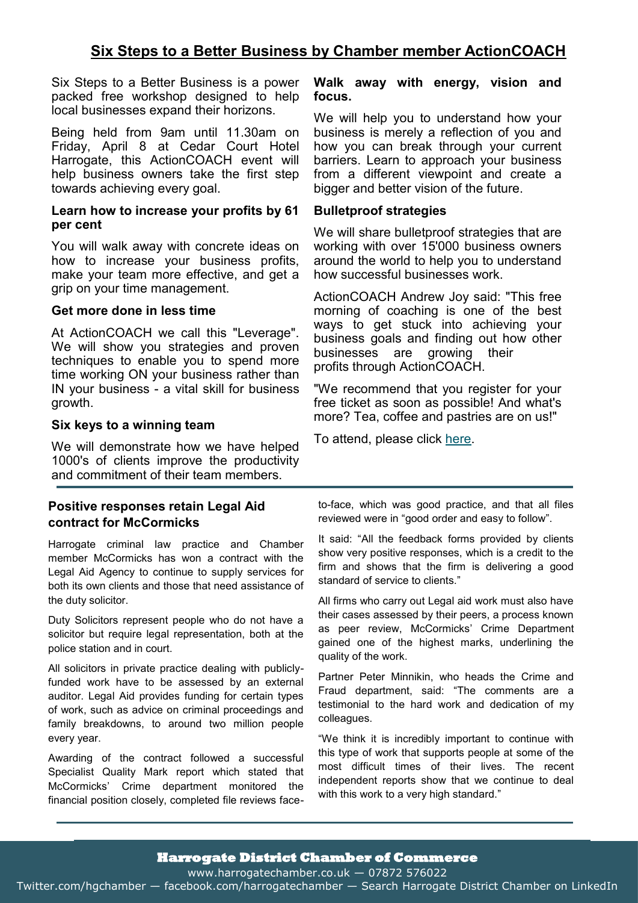## **Six Steps to a Better Business by Chamber member ActionCOACH**

Six Steps to a Better Business is a power packed free workshop designed to help local businesses expand their horizons.

Being held from 9am until 11.30am on Friday, April 8 at Cedar Court Hotel Harrogate, this ActionCOACH event will help business owners take the first step towards achieving every goal.

#### **Learn how to increase your profits by 61 per cent**

You will walk away with concrete ideas on how to increase your business profits, make your team more effective, and get a grip on your time management.

#### **Get more done in less time**

At ActionCOACH we call this "Leverage". We will show you strategies and proven techniques to enable you to spend more time working ON your business rather than IN your business - a vital skill for business growth.

#### **Six keys to a winning team**

We will demonstrate how we have helped 1000's of clients improve the productivity and commitment of their team members.

## **Positive responses retain Legal Aid contract for McCormicks**

Harrogate criminal law practice and Chamber member McCormicks has won a contract with the Legal Aid Agency to continue to supply services for both its own clients and those that need assistance of the duty solicitor.

Duty Solicitors represent people who do not have a solicitor but require legal representation, both at the police station and in court.

All solicitors in private practice dealing with publiclyfunded work have to be assessed by an external auditor. Legal Aid provides funding for certain types of work, such as advice on criminal proceedings and family breakdowns, to around two million people every year.

Awarding of the contract followed a successful Specialist Quality Mark report which stated that McCormicks' Crime department monitored the financial position closely, completed file reviews face-

#### **Walk away with energy, vision and focus.**

We will help you to understand how your business is merely a reflection of you and how you can break through your current barriers. Learn to approach your business from a different viewpoint and create a bigger and better vision of the future.

#### **Bulletproof strategies**

We will share bulletproof strategies that are working with over 15'000 business owners around the world to help you to understand how successful businesses work.

ActionCOACH Andrew Joy said: "This free morning of coaching is one of the best ways to get stuck into achieving your business goals and finding out how other businesses are growing their profits through ActionCOACH.

"We recommend that you register for your free ticket as soon as possible! And what's more? Tea, coffee and pastries are on us!"

To attend, please click [here.](https://www.eventbrite.com/e/6-steps-to-a-better-business-workshop-tickets-274228293207)

to-face, which was good practice, and that all files reviewed were in "good order and easy to follow".

It said: "All the feedback forms provided by clients show very positive responses, which is a credit to the firm and shows that the firm is delivering a good standard of service to clients."

All firms who carry out Legal aid work must also have their cases assessed by their peers, a process known as peer review, McCormicks' Crime Department gained one of the highest marks, underlining the quality of the work.

Partner Peter Minnikin, who heads the Crime and Fraud department, said: "The comments are a testimonial to the hard work and dedication of my colleagues.

"We think it is incredibly important to continue with this type of work that supports people at some of the most difficult times of their lives. The recent independent reports show that we continue to deal with this work to a very high standard."

#### **Harrogate District Chamber of Commerce**

www.harrogatechamber.co.uk — 07872 576022

Twitter.com/hgchamber — facebook.com/harrogatechamber — Search Harrogate District Chamber on LinkedIn